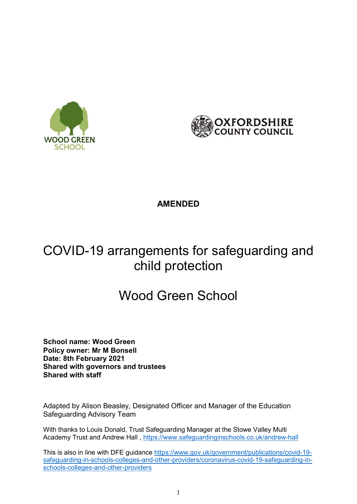



## AMENDED

## COVID-19 arrangements for safeguarding and child protection

# Wood Green School

School name: Wood Green Policy owner: Mr M Bonsell Date: 8th February 2021 Shared with governors and trustees Shared with staff

Adapted by Alison Beasley, Designated Officer and Manager of the Education Safeguarding Advisory Team

With thanks to Louis Donald, Trust Safeguarding Manager at the Stowe Valley Multi Academy Trust and Andrew Hall , https://www.safeguardinginschools.co.uk/andrew-hall

This is also in line with DFE guidance https://www.gov.uk/government/publications/covid-19 safeguarding-in-schools-colleges-and-other-providers/coronavirus-covid-19-safeguarding-inschools-colleges-and-other-providers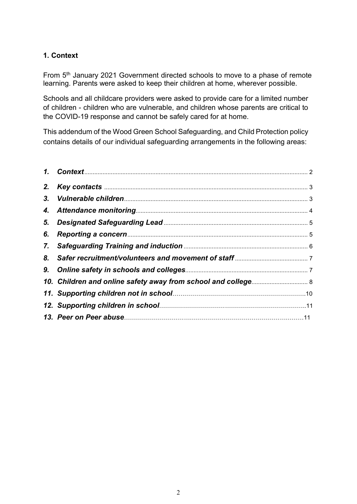### 1. Context

From 5th January 2021 Government directed schools to move to a phase of remote learning. Parents were asked to keep their children at home, wherever possible.

Schools and all childcare providers were asked to provide care for a limited number of children - children who are vulnerable, and children whose parents are critical to the COVID-19 response and cannot be safely cared for at home.

This addendum of the Wood Green School Safeguarding, and Child Protection policy contains details of our individual safeguarding arrangements in the following areas:

| 2. |  |
|----|--|
|    |  |
|    |  |
|    |  |
| 6. |  |
|    |  |
| 8. |  |
|    |  |
|    |  |
|    |  |
|    |  |
|    |  |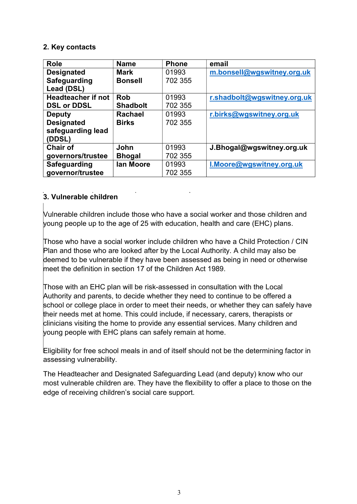#### 2. Key contacts

| <b>Role</b>               | <b>Name</b>     | <b>Phone</b> | email                       |
|---------------------------|-----------------|--------------|-----------------------------|
| <b>Designated</b>         | <b>Mark</b>     | 01993        | m.bonsell@wgswitney.org.uk  |
| Safeguarding              | <b>Bonsell</b>  | 702 355      |                             |
| Lead (DSL)                |                 |              |                             |
| <b>Headteacher if not</b> | <b>Rob</b>      | 01993        | r.shadbolt@wgswitney.org.uk |
| <b>DSL or DDSL</b>        | <b>Shadbolt</b> | 702 355      |                             |
| <b>Deputy</b>             | <b>Rachael</b>  | 01993        | r.birks@wgswitney.org.uk    |
| <b>Designated</b>         | <b>Birks</b>    | 702 355      |                             |
| safeguarding lead         |                 |              |                             |
| (DDSL)                    |                 |              |                             |
| <b>Chair of</b>           | John            | 01993        | J.Bhogal@wgswitney.org.uk   |
| governors/trustee         | <b>Bhogal</b>   | 702 355      |                             |
| <b>Safeguarding</b>       | lan Moore       | 01993        | I.Moore@wgswitney.org.uk    |
| governor/trustee          |                 | 702 355      |                             |

## 3. Vulnerable children

Vulnerable children include those who have a social worker and those children and young people up to the age of 25 with education, health and care (EHC) plans.

Those who have a social worker include children who have a Child Protection / CIN Plan and those who are looked after by the Local Authority. A child may also be deemed to be vulnerable if they have been assessed as being in need or otherwise meet the definition in section 17 of the Children Act 1989.

Those with an EHC plan will be risk-assessed in consultation with the Local Authority and parents, to decide whether they need to continue to be offered a school or college place in order to meet their needs, or whether they can safely have their needs met at home. This could include, if necessary, carers, therapists or clinicians visiting the home to provide any essential services. Many children and young people with EHC plans can safely remain at home.

Eligibility for free school meals in and of itself should not be the determining factor in assessing vulnerability.

The Headteacher and Designated Safeguarding Lead (and deputy) know who our most vulnerable children are. They have the flexibility to offer a place to those on the edge of receiving children's social care support.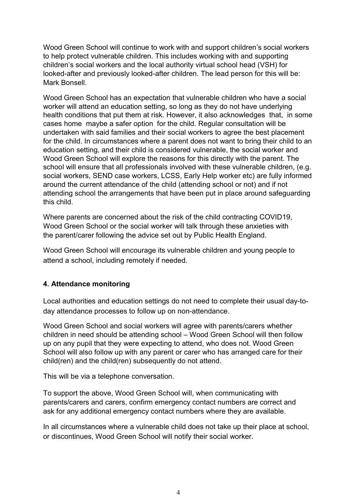Wood Green School will continue to work with and support children's social workers to help protect vulnerable children. This includes working with and supporting children's social workers and the local authority virtual school head (VSH) for looked-after and previously looked-after children. The lead person for this will be: Mark Bonsell.

Wood Green School has an expectation that vulnerable children who have a social worker will attend an education setting, so long as they do not have underlying health conditions that put them at risk. However, it also acknowledges that, in some cases home maybe a safer option for the child. Regular consultation will be undertaken with said families and their social workers to agree the best placement for the child. In circumstances where a parent does not want to bring their child to an education setting, and their child is considered vulnerable, the social worker and Wood Green School will explore the reasons for this directly with the parent. The school will ensure that all professionals involved with these vulnerable children, (e.g. social workers, SEND case workers, LCSS, Early Help worker etc) are fully informed around the current attendance of the child (attending school or not) and if not attending school the arrangements that have been put in place around safeguarding this child.

Where parents are concerned about the risk of the child contracting COVID19, Wood Green School or the social worker will talk through these anxieties with the parent/carer following the advice set out by Public Health England.

Wood Green School will encourage its vulnerable children and young people to attend a school, including remotely if needed.

#### 4. Attendance monitoring

Local authorities and education settings do not need to complete their usual day-today attendance processes to follow up on non-attendance.

Wood Green School and social workers will agree with parents/carers whether children in need should be attending school – Wood Green School will then follow up on any pupil that they were expecting to attend, who does not. Wood Green School will also follow up with any parent or carer who has arranged care for their child(ren) and the child(ren) subsequently do not attend.

This will be via a telephone conversation.

To support the above, Wood Green School will, when communicating with parents/carers and carers, confirm emergency contact numbers are correct and ask for any additional emergency contact numbers where they are available.

In all circumstances where a vulnerable child does not take up their place at school, or discontinues, Wood Green School will notify their social worker.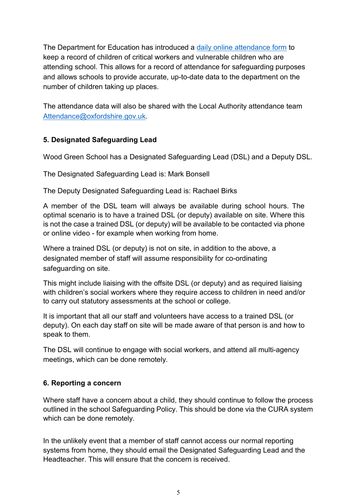The Department for Education has introduced a daily online attendance form to keep a record of children of critical workers and vulnerable children who are attending school. This allows for a record of attendance for safeguarding purposes and allows schools to provide accurate, up-to-date data to the department on the number of children taking up places.

The attendance data will also be shared with the Local Authority attendance team Attendance@oxfordshire.gov.uk.

## 5. Designated Safeguarding Lead

Wood Green School has a Designated Safeguarding Lead (DSL) and a Deputy DSL.

The Designated Safeguarding Lead is: Mark Bonsell

The Deputy Designated Safeguarding Lead is: Rachael Birks

A member of the DSL team will always be available during school hours. The optimal scenario is to have a trained DSL (or deputy) available on site. Where this is not the case a trained DSL (or deputy) will be available to be contacted via phone or online video - for example when working from home.

Where a trained DSL (or deputy) is not on site, in addition to the above, a designated member of staff will assume responsibility for co-ordinating safeguarding on site.

This might include liaising with the offsite DSL (or deputy) and as required liaising with children's social workers where they require access to children in need and/or to carry out statutory assessments at the school or college.

It is important that all our staff and volunteers have access to a trained DSL (or deputy). On each day staff on site will be made aware of that person is and how to speak to them.

The DSL will continue to engage with social workers, and attend all multi-agency meetings, which can be done remotely.

#### 6. Reporting a concern

Where staff have a concern about a child, they should continue to follow the process outlined in the school Safeguarding Policy. This should be done via the CURA system which can be done remotely.

In the unlikely event that a member of staff cannot access our normal reporting systems from home, they should email the Designated Safeguarding Lead and the Headteacher. This will ensure that the concern is received.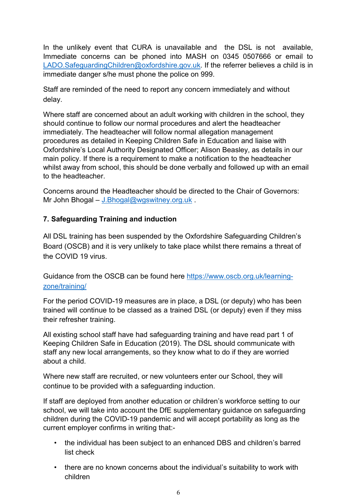In the unlikely event that CURA is unavailable and the DSL is not available, Immediate concerns can be phoned into MASH on 0345 0507666 or email to LADO.SafeguardingChildren@oxfordshire.gov.uk. If the referrer believes a child is in immediate danger s/he must phone the police on 999.

Staff are reminded of the need to report any concern immediately and without delay.

Where staff are concerned about an adult working with children in the school, they should continue to follow our normal procedures and alert the headteacher immediately. The headteacher will follow normal allegation management procedures as detailed in Keeping Children Safe in Education and liaise with Oxfordshire's Local Authority Designated Officer; Alison Beasley, as details in our main policy. If there is a requirement to make a notification to the headteacher whilst away from school, this should be done verbally and followed up with an email to the headteacher.

Concerns around the Headteacher should be directed to the Chair of Governors: Mr John Bhogal – J.Bhogal@wgswitney.org.uk.

## 7. Safeguarding Training and induction

All DSL training has been suspended by the Oxfordshire Safeguarding Children's Board (OSCB) and it is very unlikely to take place whilst there remains a threat of the COVID 19 virus.

Guidance from the OSCB can be found here https://www.oscb.org.uk/learningzone/training/

For the period COVID-19 measures are in place, a DSL (or deputy) who has been trained will continue to be classed as a trained DSL (or deputy) even if they miss their refresher training.

All existing school staff have had safeguarding training and have read part 1 of Keeping Children Safe in Education (2019). The DSL should communicate with staff any new local arrangements, so they know what to do if they are worried about a child.

Where new staff are recruited, or new volunteers enter our School, they will continue to be provided with a safeguarding induction.

If staff are deployed from another education or children's workforce setting to our school, we will take into account the DfE supplementary guidance on safeguarding children during the COVID-19 pandemic and will accept portability as long as the current employer confirms in writing that:-

- the individual has been subject to an enhanced DBS and children's barred list check
- there are no known concerns about the individual's suitability to work with children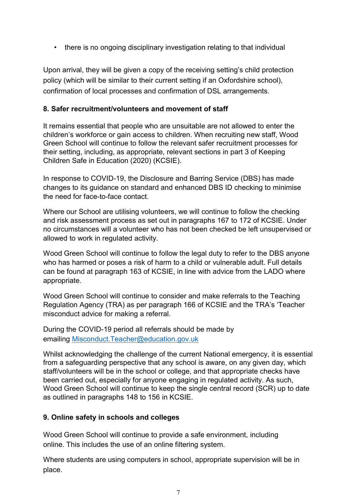• there is no ongoing disciplinary investigation relating to that individual

Upon arrival, they will be given a copy of the receiving setting's child protection policy (which will be similar to their current setting if an Oxfordshire school), confirmation of local processes and confirmation of DSL arrangements.

#### 8. Safer recruitment/volunteers and movement of staff

It remains essential that people who are unsuitable are not allowed to enter the children's workforce or gain access to children. When recruiting new staff, Wood Green School will continue to follow the relevant safer recruitment processes for their setting, including, as appropriate, relevant sections in part 3 of Keeping Children Safe in Education (2020) (KCSIE).

In response to COVID-19, the Disclosure and Barring Service (DBS) has made changes to its guidance on standard and enhanced DBS ID checking to minimise the need for face-to-face contact.

Where our School are utilising volunteers, we will continue to follow the checking and risk assessment process as set out in paragraphs 167 to 172 of KCSIE. Under no circumstances will a volunteer who has not been checked be left unsupervised or allowed to work in regulated activity.

Wood Green School will continue to follow the legal duty to refer to the DBS anyone who has harmed or poses a risk of harm to a child or vulnerable adult. Full details can be found at paragraph 163 of KCSIE, in line with advice from the LADO where appropriate.

Wood Green School will continue to consider and make referrals to the Teaching Regulation Agency (TRA) as per paragraph 166 of KCSIE and the TRA's 'Teacher misconduct advice for making a referral.

During the COVID-19 period all referrals should be made by emailing Misconduct.Teacher@education.gov.uk

Whilst acknowledging the challenge of the current National emergency, it is essential from a safeguarding perspective that any school is aware, on any given day, which staff/volunteers will be in the school or college, and that appropriate checks have been carried out, especially for anyone engaging in regulated activity. As such, Wood Green School will continue to keep the single central record (SCR) up to date as outlined in paragraphs 148 to 156 in KCSIE.

#### 9. Online safety in schools and colleges

Wood Green School will continue to provide a safe environment, including online. This includes the use of an online filtering system.

Where students are using computers in school, appropriate supervision will be in place.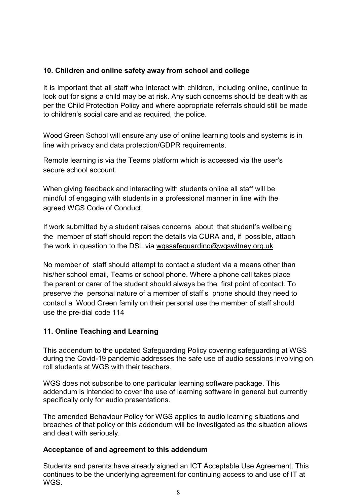#### 10. Children and online safety away from school and college

It is important that all staff who interact with children, including online, continue to look out for signs a child may be at risk. Any such concerns should be dealt with as per the Child Protection Policy and where appropriate referrals should still be made to children's social care and as required, the police.

Wood Green School will ensure any use of online learning tools and systems is in line with privacy and data protection/GDPR requirements.

Remote learning is via the Teams platform which is accessed via the user's secure school account.

When giving feedback and interacting with students online all staff will be mindful of engaging with students in a professional manner in line with the agreed WGS Code of Conduct.

If work submitted by a student raises concerns about that student's wellbeing the member of staff should report the details via CURA and, if possible, attach the work in question to the DSL via wgssafeguarding@wgswitney.org.uk

No member of staff should attempt to contact a student via a means other than his/her school email, Teams or school phone. Where a phone call takes place the parent or carer of the student should always be the first point of contact. To preserve the personal nature of a member of staff's phone should they need to contact a Wood Green family on their personal use the member of staff should use the pre-dial code 114

#### 11. Online Teaching and Learning

This addendum to the updated Safeguarding Policy covering safeguarding at WGS during the Covid-19 pandemic addresses the safe use of audio sessions involving on roll students at WGS with their teachers.

WGS does not subscribe to one particular learning software package. This addendum is intended to cover the use of learning software in general but currently specifically only for audio presentations.

The amended Behaviour Policy for WGS applies to audio learning situations and breaches of that policy or this addendum will be investigated as the situation allows and dealt with seriously.

#### Acceptance of and agreement to this addendum

Students and parents have already signed an ICT Acceptable Use Agreement. This continues to be the underlying agreement for continuing access to and use of IT at WGS.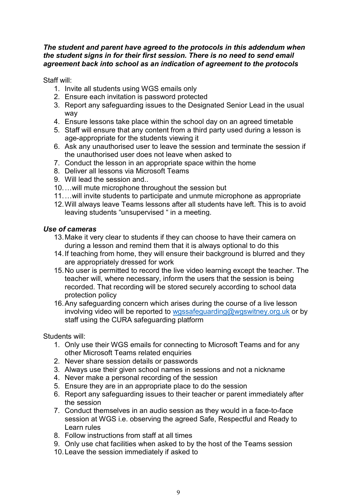#### The student and parent have agreed to the protocols in this addendum when the student signs in for their first session. There is no need to send email agreement back into school as an indication of agreement to the protocols

Staff will:

- 1. Invite all students using WGS emails only
- 2. Ensure each invitation is password protected
- 3. Report any safeguarding issues to the Designated Senior Lead in the usual way
- 4. Ensure lessons take place within the school day on an agreed timetable
- 5. Staff will ensure that any content from a third party used during a lesson is age-appropriate for the students viewing it
- 6. Ask any unauthorised user to leave the session and terminate the session if the unauthorised user does not leave when asked to
- 7. Conduct the lesson in an appropriate space within the home
- 8. Deliver all lessons via Microsoft Teams
- 9. Will lead the session and..
- 10. …will mute microphone throughout the session but
- 11. …will invite students to participate and unmute microphone as appropriate
- 12. Will always leave Teams lessons after all students have left. This is to avoid leaving students "unsupervised " in a meeting.

#### Use of cameras

- 13. Make it very clear to students if they can choose to have their camera on during a lesson and remind them that it is always optional to do this
- 14. If teaching from home, they will ensure their background is blurred and they are appropriately dressed for work
- 15. No user is permitted to record the live video learning except the teacher. The teacher will, where necessary, inform the users that the session is being recorded. That recording will be stored securely according to school data protection policy
- 16. Any safeguarding concern which arises during the course of a live lesson involving video will be reported to wgssafeguarding@wgswitney.org.uk or by staff using the CURA safeguarding platform

Students will:

- 1. Only use their WGS emails for connecting to Microsoft Teams and for any other Microsoft Teams related enquiries
- 2. Never share session details or passwords
- 3. Always use their given school names in sessions and not a nickname
- 4. Never make a personal recording of the session
- 5. Ensure they are in an appropriate place to do the session
- 6. Report any safeguarding issues to their teacher or parent immediately after the session
- 7. Conduct themselves in an audio session as they would in a face-to-face session at WGS i.e. observing the agreed Safe, Respectful and Ready to Learn rules
- 8. Follow instructions from staff at all times
- 9. Only use chat facilities when asked to by the host of the Teams session
- 10. Leave the session immediately if asked to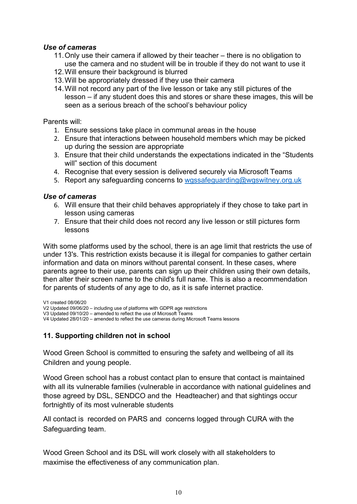#### Use of cameras

- 11. Only use their camera if allowed by their teacher there is no obligation to use the camera and no student will be in trouble if they do not want to use it
- 12. Will ensure their background is blurred
- 13. Will be appropriately dressed if they use their camera
- 14. Will not record any part of the live lesson or take any still pictures of the lesson – if any student does this and stores or share these images, this will be seen as a serious breach of the school's behaviour policy

Parents will:

- 1. Ensure sessions take place in communal areas in the house
- 2. Ensure that interactions between household members which may be picked up during the session are appropriate
- 3. Ensure that their child understands the expectations indicated in the "Students will" section of this document
- 4. Recognise that every session is delivered securely via Microsoft Teams
- 5. Report any safeguarding concerns to wgssafeguarding@wgswitney.org.uk

#### Use of cameras

- 6. Will ensure that their child behaves appropriately if they chose to take part in lesson using cameras
- 7. Ensure that their child does not record any live lesson or still pictures form lessons

With some platforms used by the school, there is an age limit that restricts the use of under 13's. This restriction exists because it is illegal for companies to gather certain information and data on minors without parental consent. In these cases, where parents agree to their use, parents can sign up their children using their own details, then alter their screen name to the child's full name. This is also a recommendation for parents of students of any age to do, as it is safe internet practice.

V1 created 08/06/20 V2 Updated 09/06/20 – including use of platforms with GDPR age restrictions V3 Updated 09/10/20 – amended to reflect the use of Microsoft Teams V4 Updated 28/01/20 – amended to reflect the use cameras during Microsoft Teams lessons

## 11. Supporting children not in school

Wood Green School is committed to ensuring the safety and wellbeing of all its Children and young people.

Wood Green school has a robust contact plan to ensure that contact is maintained with all its vulnerable families (vulnerable in accordance with national guidelines and those agreed by DSL, SENDCO and the Headteacher) and that sightings occur fortnightly of its most vulnerable students

All contact is recorded on PARS and concerns logged through CURA with the Safeguarding team.

Wood Green School and its DSL will work closely with all stakeholders to maximise the effectiveness of any communication plan.